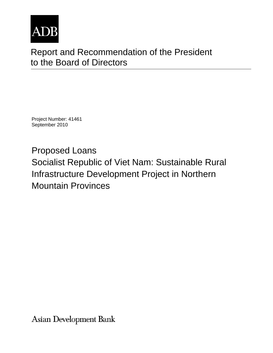

# Report and Recommendation of the President to the Board of Directors

Project Number: 41461 September 2010

Proposed Loans Socialist Republic of Viet Nam: Sustainable Rural Infrastructure Development Project in Northern Mountain Provinces

Asian Development Bank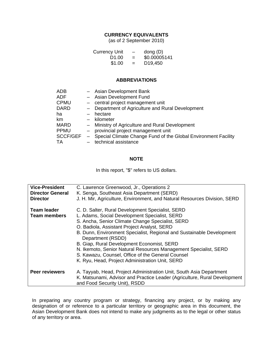## **CURRENCY EQUIVALENTS**

(as of 2 September 2010)

| <b>Currency Unit</b> | $\overline{\phantom{m}}$ | dong $(D)$           |
|----------------------|--------------------------|----------------------|
| D <sub>1.00</sub>    | $=$                      | \$0.00005141         |
| \$1.00               | $=$                      | D <sub>19</sub> ,450 |

#### **ABBREVIATIONS**

| ADB         |               | - Asian Development Bank                                                  |
|-------------|---------------|---------------------------------------------------------------------------|
| ADF         |               | - Asian Development Fund                                                  |
| <b>CPMU</b> |               | - central project management unit                                         |
| <b>DARD</b> |               | - Department of Agriculture and Rural Development                         |
| ha          |               | hectare                                                                   |
| km.         |               | - kilometer                                                               |
| <b>MARD</b> |               | - Ministry of Agriculture and Rural Development                           |
| <b>PPMU</b> | $\frac{1}{2}$ | provincial project management unit                                        |
|             |               | SCCF/GEF - Special Climate Change Fund of the Global Environment Facility |
| TA          |               | technical assistance                                                      |

#### **NOTE**

In this report, "\$" refers to US dollars.

| <b>Vice-President</b>   | C. Lawrence Greenwood, Jr., Operations 2                                                                   |
|-------------------------|------------------------------------------------------------------------------------------------------------|
| <b>Director General</b> | K. Senga, Southeast Asia Department (SERD)                                                                 |
| <b>Director</b>         | J. H. Mir, Agriculture, Environment, and Natural Resources Division, SERD                                  |
| <b>Team leader</b>      | C. D. Salter, Rural Development Specialist, SERD                                                           |
| <b>Team members</b>     | L. Adams, Social Development Specialist, SERD                                                              |
|                         | S. Ancha, Senior Climate Change Specialist, SERD                                                           |
|                         | O. Badiola, Assistant Project Analyst, SERD                                                                |
|                         | B. Dunn, Environment Specialist, Regional and Sustainable Development<br>Department (RSDD)                 |
|                         | B. Giap, Rural Development Economist, SERD                                                                 |
|                         | N. Ikemoto, Senior Natural Resources Management Specialist, SERD                                           |
|                         | S. Kawazu, Counsel, Office of the General Counsel                                                          |
|                         | K. Ryu, Head, Project Administration Unit, SERD                                                            |
| <b>Peer reviewers</b>   | A. Tayyab, Head, Project Administration Unit, South Asia Department                                        |
|                         | K. Matsunami, Advisor and Practice Leader (Agriculture, Rural Development<br>and Food Security Unit), RSDD |

In preparing any country program or strategy, financing any project, or by making any designation of or reference to a particular territory or geographic area in this document, the Asian Development Bank does not intend to make any judgments as to the legal or other status of any territory or area.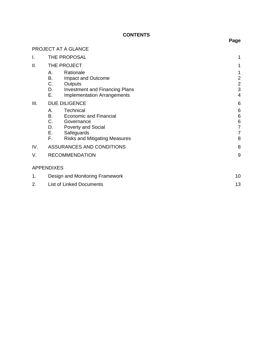# **CONTENTS**

|     | PROJECT AT A GLANCE                                                                                                                                                                    |                                                 |
|-----|----------------------------------------------------------------------------------------------------------------------------------------------------------------------------------------|-------------------------------------------------|
| I.  | THE PROPOSAL                                                                                                                                                                           | 1                                               |
| II. | THE PROJECT                                                                                                                                                                            | 1                                               |
|     | Rationale<br>А.<br>В.<br>Impact and Outcome<br>C.<br>Outputs<br>D.<br><b>Investment and Financing Plans</b><br>Е.<br><b>Implementation Arrangements</b>                                | 1<br>$\overline{c}$<br>$\overline{c}$<br>3<br>4 |
| Ш.  | <b>DUE DILIGENCE</b>                                                                                                                                                                   | 6                                               |
|     | Technical<br>А.<br><b>B.</b><br><b>Economic and Financial</b><br>C.<br>Governance<br>D.<br><b>Poverty and Social</b><br>Е.<br>Safeguards<br>F.<br><b>Risks and Mitigating Measures</b> | 6<br>6<br>6<br>7<br>7<br>8                      |
| IV. | ASSURANCES AND CONDITIONS                                                                                                                                                              | 8                                               |
| V.  | <b>RECOMMENDATION</b>                                                                                                                                                                  | 9                                               |
|     | <b>APPENDIXES</b>                                                                                                                                                                      |                                                 |
| 1.  | Design and Monitoring Framework                                                                                                                                                        | 10                                              |
| 2.  | <b>List of Linked Documents</b>                                                                                                                                                        | 13                                              |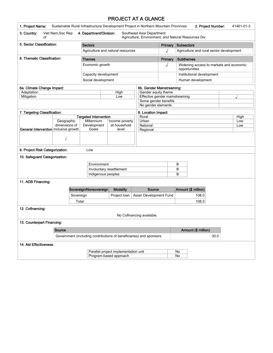# PROJECT AT A GLANCE

| 1. Project Name:                            |                                                                    |           |                              |  | Sustainable Rural Infrastructure Development Project in Northern Mountain Provinces |                   |                                                                                  |                                                          |                           | 2. Project Number:                       |  | 41461-01-3 |
|---------------------------------------------|--------------------------------------------------------------------|-----------|------------------------------|--|-------------------------------------------------------------------------------------|-------------------|----------------------------------------------------------------------------------|----------------------------------------------------------|---------------------------|------------------------------------------|--|------------|
| 3. Country:<br>οf                           | Viet Nam, Soc Rep                                                  |           | 4. Department/Division:      |  |                                                                                     |                   | Southeast Asia Department<br>Agriculture, Environment, and Natural Resources Div |                                                          |                           |                                          |  |            |
| 5. Sector Classification:<br><b>Sectors</b> |                                                                    |           |                              |  | Primary                                                                             | <b>Subsectors</b> |                                                                                  |                                                          |                           |                                          |  |            |
|                                             |                                                                    |           |                              |  | Agriculture and natural resources                                                   |                   |                                                                                  | J                                                        |                           | Agriculture and rural sector development |  |            |
| 6. Thematic Classification:                 |                                                                    |           | <b>Themes</b>                |  |                                                                                     |                   |                                                                                  | Primary                                                  | <b>Subthemes</b>          |                                          |  |            |
| Economic growth                             |                                                                    |           |                              |  |                                                                                     |                   | √                                                                                | Widening access to markets and economic<br>opportunities |                           |                                          |  |            |
|                                             |                                                                    |           | Capacity development         |  |                                                                                     |                   |                                                                                  |                                                          | Institutional development |                                          |  |            |
|                                             |                                                                    |           | Social development           |  |                                                                                     |                   |                                                                                  |                                                          | Human development         |                                          |  |            |
| 6a. Climate Change Impact:                  |                                                                    |           |                              |  |                                                                                     |                   | 6b. Gender Mainstreaming:                                                        |                                                          |                           |                                          |  |            |
| Adaptation                                  |                                                                    |           |                              |  | High                                                                                |                   | Gender equity theme                                                              |                                                          |                           |                                          |  |            |
| Mitigation                                  |                                                                    |           |                              |  | Low                                                                                 |                   | Effective gender mainstreaming                                                   |                                                          |                           |                                          |  |            |
|                                             |                                                                    |           |                              |  |                                                                                     |                   | Some gender benefits                                                             |                                                          |                           |                                          |  |            |
|                                             |                                                                    |           |                              |  |                                                                                     |                   | No gender elements                                                               |                                                          |                           |                                          |  |            |
| 7. Targeting Classification:                |                                                                    |           |                              |  |                                                                                     |                   | 8. Location Impact:                                                              |                                                          |                           |                                          |  |            |
|                                             |                                                                    |           | <b>Targeted Intervention</b> |  |                                                                                     |                   | Rural                                                                            |                                                          |                           |                                          |  | High       |
|                                             | Geographic                                                         |           | Millennium                   |  | Income poverty                                                                      |                   | Urban                                                                            |                                                          |                           |                                          |  | Low        |
|                                             | dimensions of                                                      |           | Development                  |  | at household                                                                        |                   | National                                                                         |                                                          |                           |                                          |  | Low        |
| General Intervention inclusive growth       |                                                                    |           | Goals                        |  | level                                                                               |                   | Regional                                                                         |                                                          |                           |                                          |  |            |
|                                             |                                                                    |           |                              |  |                                                                                     |                   |                                                                                  |                                                          |                           |                                          |  |            |
|                                             | √                                                                  |           |                              |  |                                                                                     |                   |                                                                                  |                                                          |                           |                                          |  |            |
| 9. Project Risk Categorization:             |                                                                    |           | Low                          |  |                                                                                     |                   |                                                                                  |                                                          |                           |                                          |  |            |
| 10. Safeguard Categorization:               |                                                                    |           |                              |  |                                                                                     |                   |                                                                                  |                                                          |                           |                                          |  |            |
|                                             |                                                                    |           | Environment                  |  |                                                                                     |                   |                                                                                  |                                                          | B                         |                                          |  |            |
|                                             |                                                                    |           |                              |  | Involuntary resettlement                                                            |                   |                                                                                  |                                                          | B                         |                                          |  |            |
|                                             |                                                                    |           |                              |  | Indigenous peoples                                                                  |                   |                                                                                  |                                                          | B                         |                                          |  |            |
| 11. ADB Financing:                          |                                                                    |           |                              |  |                                                                                     |                   |                                                                                  |                                                          |                           |                                          |  |            |
|                                             |                                                                    |           | Sovereign/Nonsovereign       |  | <b>Modality</b>                                                                     |                   | <b>Source</b>                                                                    |                                                          |                           | Amount (\$ million)                      |  |            |
|                                             |                                                                    | Sovereign |                              |  | Project loan                                                                        |                   | Asian Development Fund                                                           |                                                          |                           | 108.0                                    |  |            |
|                                             |                                                                    | Total     |                              |  |                                                                                     |                   |                                                                                  |                                                          |                           | 108.0                                    |  |            |
| 12. Cofinancing:                            |                                                                    |           |                              |  |                                                                                     |                   |                                                                                  |                                                          |                           |                                          |  |            |
|                                             |                                                                    |           |                              |  |                                                                                     |                   | No Cofinancing available.                                                        |                                                          |                           |                                          |  |            |
| 13. Counterpart Financing:                  |                                                                    |           |                              |  |                                                                                     |                   |                                                                                  |                                                          |                           |                                          |  |            |
|                                             | Source                                                             |           |                              |  |                                                                                     |                   |                                                                                  |                                                          |                           | Amount (\$ million)                      |  |            |
|                                             | Government (including contributions of beneficiaries) and sponsors |           |                              |  |                                                                                     |                   |                                                                                  |                                                          | 30.0                      |                                          |  |            |
| 14. Aid Effectiveness:                      |                                                                    |           |                              |  |                                                                                     |                   |                                                                                  |                                                          |                           |                                          |  |            |
|                                             |                                                                    |           |                              |  |                                                                                     |                   |                                                                                  |                                                          |                           |                                          |  |            |
|                                             |                                                                    |           |                              |  | Parallel project implementation unit                                                |                   |                                                                                  |                                                          | No                        |                                          |  |            |
| Program-based approach                      |                                                                    |           |                              |  |                                                                                     | No                |                                                                                  |                                                          |                           |                                          |  |            |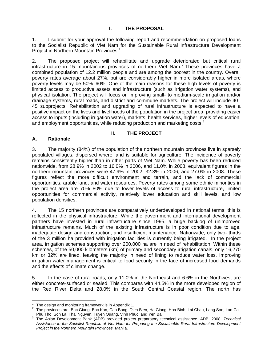1. I submit for your approval the following report and recommendation on proposed loans to the Socialist Republic of Viet Nam for the Sustainable Rural Infrastructure Development Project in Northern Mountain Provinces.<sup>1</sup>

2. The proposed project will rehabilitate and upgrade deteriorated but critical rural infrastructure in 15 mountainous provinces of northern Viet Nam.<sup>2</sup> These provinces have a combined population of 12.2 million people and are among the poorest in the country. Overall poverty rates average about 27%, but are considerably higher in more isolated areas, where poverty levels may be 50%–60%. One of the main reasons for these high levels of poverty is limited access to productive assets and infrastructure (such as irrigation water systems), and physical isolation. The project will focus on improving small- to medium-scale irrigation and/or drainage systems, rural roads, and district and commune markets. The project will include 40– 45 subprojects. Rehabilitation and upgrading of rural infrastructure is expected to have a positive impact on the lives and livelihoods of the population in the project area, providing easier access to inputs (including irrigation water), markets, health services, higher levels of education, and employment opportunities, while reducing production and marketing costs. $3$ 

## **II. THE PROJECT**

# **A. Rationale**

3. The majority (84%) of the population of the northern mountain provinces live in sparsely populated villages, dispersed where land is suitable for agriculture. The incidence of poverty remains consistently higher than in other parts of Viet Nam. While poverty has been reduced nationwide, from 28.9% in 2002 to 16.0% in 2006, and 11.0% in 2008, equivalent figures in the northern mountain provinces were 47.9% in 2002, 32.3% in 2006, and 27.0% in 2008. These figures reflect the more difficult environment and terrain, and the lack of commercial opportunities, arable land, and water resources. Poverty rates among some ethnic minorities in the project area are 70%–80% due to lower levels of access to rural infrastructure, limited opportunities for commercial activity, relatively lower education and skill levels, and low population densities.

4. The 15 northern provinces are comparatively underdeveloped in national terms; this is reflected in the physical infrastructure. While the government and international development partners have invested in rural infrastructure since 1995, a huge backlog of unimproved infrastructure remains. Much of the existing infrastructure is in poor condition due to age, inadequate design and construction, and insufficient maintenance. Nationwide, only two- thirds of the 3 million ha provided with irrigation facilities is currently being irrigated. In the project area, irrigation schemes supporting over 200,000 ha are in need of rehabilitation. Within these schemes, of the 50,000 kilometers (km) of primary and secondary irrigation canals, only 16,270 km or 32% are lined, leaving the majority in need of lining to reduce water loss. Improving irrigation water management is critical to food security in the face of increased food demands and the effects of climate change.

5. In the case of rural roads, only 11.0% in the Northeast and 6.6% in the Northwest are either concrete-surfaced or sealed. This compares with 44.5% in the more developed region of the Red River Delta and 28.0% in the South Central Coastal region. The north has

<sup>&</sup>lt;u>Figure 20</u><br><sup>1</sup> The design and monitoring framework is in Appendix 1.

<sup>&</sup>lt;sup>2</sup> The provinces are: Bac Giang, Bac Kan, Cao Bang, Dien Bien, Ha Giang, Hoa Binh, Lai Chau, Lang Son, Lao Cai, Phu Tho, Son La, Thai Nguyen, Tuyen Quang, Vinh Phuc, and Yen Bai.

The Asian Development Bank (ADB) provided project preparatory technical assistance. ADB. 2008. *Technical Assistance to the Socialist Republic of Viet Nam for Preparing the Sustainable Rural Infrastructure Development Project in the Northern Mountain Provinces.* Manila.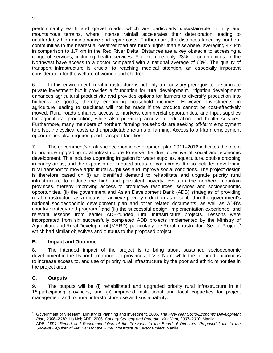predominantly earth and gravel roads, which are particularly unsustainable in hilly and mountainous terrains, where intense rainfall accelerates their deterioration leading to unaffordably high maintenance and repair costs. Furthermore, the distances faced by northern communities to the nearest all-weather road are much higher than elsewhere, averaging 4.4 km in comparison to 1.7 km in the Red River Delta. Distances are a key obstacle to accessing a range of services, including health services. For example only 23% of communities in the Northwest have access to a doctor compared with a national average of 60%. The quality of transport infrastructure is crucial to reaching medical attention, an especially important consideration for the welfare of women and children.

6. In this environment, rural infrastructure is not only a necessary prerequisite to stimulate private investment but it provides a foundation for rural development. Irrigation development enhances agricultural productivity and provides options for farmers to diversify production into higher-value goods, thereby enhancing household incomes. However, investments in agriculture leading to surpluses will not be made if the produce cannot be cost-effectively moved. Rural roads enhance access to markets, commercial opportunities, and input supplies for agricultural production, while also providing access to education and health services. Furthermore, many members of northern farming households are seeking off-farm employment to offset the cyclical costs and unpredictable returns of farming. Access to off-farm employment opportunities also requires good transport facilities.

7. The government's draft socioeconomic development plan 2011–2016 indicates the intent to prioritize upgrading rural infrastructure to serve the dual objective of social and economic development. This includes upgrading irrigation for water supplies, aquaculture, double cropping in paddy areas, and the expansion of irrigated areas for cash crops. It also includes developing rural transport to move agricultural surpluses and improve social conditions. The project design is therefore based on (i) an identified demand to rehabilitate and upgrade priority rural infrastructure to reduce the high and persistent poverty levels in the northern mountain provinces, thereby improving access to productive resources, services and socioeconomic opportunities, (ii) the government and Asian Development Bank (ADB) strategies of providing rural infrastructure as a means to achieve poverty reduction as described in the government's national socioeconomic development plan and other related documents, as well as ADB's country strategy and program, $4$  and (iii) the successful design, implementation experience, and relevant lessons from earlier ADB-funded rural infrastructure projects. Lessons were incorporated from six successfully completed ADB projects implemented by the Ministry of Agriculture and Rural Development (MARD), particularly the Rural Infrastructure Sector Project,<sup>5</sup> which had similar objectives and outputs to the proposed project.

## **B. Impact and Outcome**

8. The intended impact of the project is to bring about sustained socioeconomic development in the 15 northern mountain provinces of Viet Nam, while the intended outcome is to increase access to, and use of priority rural infrastructure by the poor and ethnic minorities in the project area.

## **C. Outputs**

9. The outputs will be (i) rehabilitated and upgraded priority rural infrastructure in all 15 participating provinces, and (ii) improved institutional and local capacities for project management and for rural infrastructure use and sustainability.

 $\overline{\phantom{a}}$ 4 Government of Viet Nam, Ministry of Planning and Investment. 2006. *The Five-Year Socio-Economic Development Plan, 2006–2010.* Ha Noi; ADB. 2006. *Country Strategy and Program: Viet Nam, 2007–2010.* Manila. 5

ADB. 1997. *Report and Recommendation of the President to the Board of Directors: Proposed Loan to the Socialist Republic of Viet Nam for the Rural Infrastructure Sector Project.* Manila.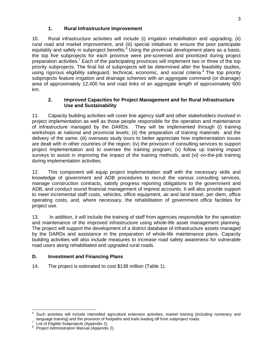## **1. Rural Infrastructure Improvement**

10. Rural infrastructure activities will include (i) irrigation rehabilitation and upgrading, (ii) rural road and market improvement, and (iii) special initiatives to ensure the poor participate equitably and safely in subproject benefits.<sup>6</sup> Using the provincial development plans as a basis, the top five subprojects for each province were pre-screened and prioritized during project preparation activities.<sup>7</sup> Each of the participating provinces will implement two or three of the top priority subprojects. The final list of subprojects will be determined after the feasibility studies, using rigorous eligibility safeguard, technical, economic, and social criteria.<sup>8</sup> The top priority subprojects feature irrigation and drainage schemes with an aggregate command (or drainage) area of approximately 12,400 ha and road links of an aggregate length of approximately 600 km.

#### **2. Improved Capacities for Project Management and for Rural Infrastructure Use and Sustainability**

11. Capacity building activities will cover line agency staff and other stakeholders involved in project implementation as well as those people responsible for the operation and maintenance of infrastructure managed by the DARDs. They will be implemented through (i) training workshops at national and provincial levels; (ii) the preparation of training materials and the delivery of the same; (iii) overseas study tours to better appreciate how implementation issues are dealt with in other countries of the region; (iv) the provision of consulting services to support project implementation and to oversee the training program; (v) follow up training impact surveys to assist in improving the impact of the training methods, and (vi) on-the-job training during implementation activities.

12. This component will equip project implementation staff with the necessary skills and knowledge of government and ADB procedures to recruit the various consulting services, manage construction contracts, satisfy progress reporting obligations to the government and ADB, and conduct sound financial management of imprest accounts. It will also provide support to meet incremental staff costs, vehicles, office equipment, air and land travel, per diem, office operating costs, and, where necessary, the rehabilitation of government office facilities for project use.

13. In addition, it will include the training of staff from agencies responsible for the operation and maintenance of the improved infrastructure using whole-life asset management planning. The project will support the development of a district database of infrastructure assets managed by the DARDs and assistance in the preparation of whole-life maintenance plans. Capacity building activities will also include measures to increase road safety awareness for vulnerable road users along rehabilitated and upgraded rural roads.

## **D. Investment and Financing Plans**

14. The project is estimated to cost \$138 million (Table 1).

 $\overline{\phantom{a}}$ 

<sup>6</sup> Such activities will include intensified agriculture extension activities, market training (including numeracy and language training) and the provision of footpaths and trails leading off from subproject roads.

List of Eligible Subprojects (Appendix 2).

<sup>&</sup>lt;sup>8</sup> Project Administration Manual (Appendix 2).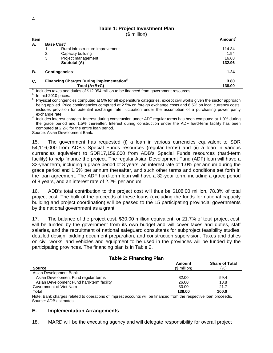#### **Table 1: Project Investment Plan**

(\$ million)

| <b>Item</b> |                               |                                                                                    | <b>Amount</b> <sup>d</sup> |
|-------------|-------------------------------|------------------------------------------------------------------------------------|----------------------------|
| А.          | <b>Base Cost</b> <sup>b</sup> |                                                                                    |                            |
|             | 1.                            | Rural infrastructure improvement                                                   | 114.34                     |
|             | 2.                            | Capacity building                                                                  | 1.94                       |
|             | 3.                            | Project management                                                                 | 16.68                      |
|             |                               | Subtotal (A)                                                                       | 132.96                     |
| В.          |                               | Contingencies <sup>c</sup>                                                         | 1.24                       |
| C.          |                               | Financing Charges During Implementation <sup>d</sup>                               | 3.80                       |
|             |                               | Total (A+B+C)                                                                      | 138.00                     |
| a           |                               | lastudes touse sad dubbe of CAO OFA million to be financed from pour monographical |                            |

<sup>a</sup> Includes taxes and duties of \$12.054 million to be financed from government resources.<br><sup>b</sup> Jp. mid.2010 prices

 $b$  In mid-2010 prices.

c Physical contingencies computed at 5% for all expenditure categories, except civil works given the sector approach being applied. Price contingencies computed at 2.5% on foreign exchange costs and 6.5% on local currency costs; includes provision for potential exchange rate fluctuation under the assumption of a purchasing power parity

exchange rate.<br><sup>d</sup> Includes interest charges. Interest during construction under ADF regular terms has been computed at 1.0% during the grace period and 1.5% thereafter. Interest during construction under the ADF hard-term facility has been computed at 2.2% for the entire loan period.

Source: Asian Development Bank.

15. The government has requested (i) a loan in various currencies equivalent to SDR 54,116,000 from ADB's Special Funds resources (regular terms) and (ii) a loan in various currencies equivalent to SDR17,159,000 from ADB's Special Funds resources (hard-term facility) to help finance the project. The regular Asian Development Fund (ADF) loan will have a 32-year term, including a grace period of 8 years, an interest rate of 1.0% per annum during the grace period and 1.5% per annum thereafter, and such other terms and conditions set forth in the loan agreement. The ADF hard-term loan will have a 32-year term, including a grace period of 8 years, and an interest rate of 2.2% per annum.

16. ADB's total contribution to the project cost will thus be \$108.00 million, 78.3% of total project cost. The bulk of the proceeds of these loans (excluding the funds for national capacity building and project coordination) will be passed to the 15 participating provincial governments by the national government as a grant.

17. The balance of the project cost, \$30.00 million equivalent, or 21.7% of total project cost, will be funded by the government from its own budget and will cover taxes and duties, staff salaries, and the recruitment of national safeguard consultants for subproject feasibility studies, detailed design, bidding document preparation, and construction supervision. Taxes and duties on civil works, and vehicles and equipment to be used in the provinces will be funded by the participating provinces. The financing plan is in Table 2.

| . .<br><b>Source</b>                      | Amount<br>$$$ million) | <b>Share of Total</b><br>(%) |
|-------------------------------------------|------------------------|------------------------------|
| Asian Development Bank                    |                        |                              |
| Asian Development Fund regular terms      | 82.00                  | 59.4                         |
| Asian Development Fund hard-term facility | 26.00                  | 18.8                         |
| Government of Viet Nam                    | 30.00                  | 21.7                         |
| Total                                     | 138.00                 | 100.0                        |

#### **Table 2: Financing Plan**

Note: Bank charges related to operations of imprest accounts will be financed from the respective loan proceeds. Source: ADB estimates.

#### **E. Implementation Arrangements**

18. MARD will be the executing agency and will delegate responsibility for overall project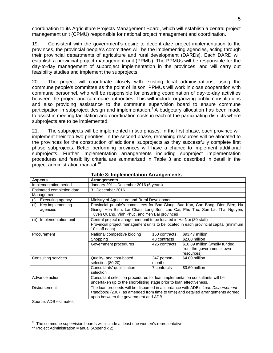coordination to its Agriculture Projects Management Board, which will establish a central project management unit (CPMU) responsible for national project management and coordination.

19. Consistent with the government's desire to decentralize project implementation to the provinces, the provincial people's committees will be the implementing agencies, acting through their provincial departments of agriculture and rural development (DARDs). Each DARD will establish a provincial project management unit (PPMU). The PPMUs will be responsible for the day-to-day management of subproject implementation in the provinces, and will carry out feasibility studies and implement the subprojects.

20. The project will coordinate closely with existing local administrations, using the commune people's committee as the point of liaison. PPMUs will work in close cooperation with commune personnel, who will be responsible for ensuring coordination of day-to-day activities between the project and commune authorities. This will include organizing public consultations and also providing assistance to the commune supervision board to ensure commune participation in subproject design and implementation.<sup>9</sup> A budgetary allocation has been made to assist in meeting facilitation and coordination costs in each of the participating districts where subprojects are to be implemented.

21. The subprojects will be implemented in two phases. In the first phase, each province will implement their top two priorities. In the second phase, remaining resources will be allocated to the provinces for the construction of additional subprojects as they successfully complete first phase subprojects. Better performing provinces will have a chance to implement additional subprojects. Further implementation arrangements including subproject implementation procedures and feasibility criteria are summarized in Table 3 and described in detail in the project administration manual.<sup>10</sup>

| <b>Aspects</b>                       | <b>Arrangements</b>                                                                                                                                                                                      |                                                                                                                                                                                                                |                                                                           |  |  |  |  |
|--------------------------------------|----------------------------------------------------------------------------------------------------------------------------------------------------------------------------------------------------------|----------------------------------------------------------------------------------------------------------------------------------------------------------------------------------------------------------------|---------------------------------------------------------------------------|--|--|--|--|
| Implementation period                | January 2011–December 2016 (6 years)                                                                                                                                                                     |                                                                                                                                                                                                                |                                                                           |  |  |  |  |
| Estimated completion date            | 31 December 2016                                                                                                                                                                                         |                                                                                                                                                                                                                |                                                                           |  |  |  |  |
| Management                           |                                                                                                                                                                                                          |                                                                                                                                                                                                                |                                                                           |  |  |  |  |
| Executing agency<br>(i)              | Ministry of Agriculture and Rural Development                                                                                                                                                            |                                                                                                                                                                                                                |                                                                           |  |  |  |  |
| (ii)<br>Key implementing<br>agencies |                                                                                                                                                                                                          | Provincial people's committees for Bac Giang, Bac Kan, Cao Bang, Dien Bien, Ha<br>Giang, Hoa Binh, Lai Chau, Lang Son, Lao Cai, Phu Tho, Son La, Thai Nguyen,<br>Tuyen Quang, Vinh Phuc, and Yen Bai provinces |                                                                           |  |  |  |  |
| Implementation unit<br>(iii)         | Central project management unit to be located in Ha Noi (30 staff)<br>Provincial project management units to be located in each provincial capital (minimum<br>10 staff each)                            |                                                                                                                                                                                                                |                                                                           |  |  |  |  |
| Procurement                          | National competitive bidding                                                                                                                                                                             | 150 contracts                                                                                                                                                                                                  | \$93.47 million                                                           |  |  |  |  |
|                                      | Shopping                                                                                                                                                                                                 | 48 contracts                                                                                                                                                                                                   | \$2.00 million                                                            |  |  |  |  |
|                                      | Government procedures                                                                                                                                                                                    | 425 contracts                                                                                                                                                                                                  | \$10.89 million (wholly funded<br>from the government's own<br>resources) |  |  |  |  |
| Consulting services                  | Quality- and cost-based<br>selection (80:20)                                                                                                                                                             | 347 person-<br>months                                                                                                                                                                                          | \$4.00 million                                                            |  |  |  |  |
|                                      | Consultants' qualification<br>selection                                                                                                                                                                  | 7 contracts                                                                                                                                                                                                    | \$0.60 million                                                            |  |  |  |  |
| Advance action                       | Consultant selection procedures for loan implementation consultants will be<br>undertaken up to the short-listing stage prior to loan effectiveness.                                                     |                                                                                                                                                                                                                |                                                                           |  |  |  |  |
| Disbursement                         | The loan proceeds will be disbursed in accordance with ADB's Loan Disbursement<br>Handbook (2007, as amended from time to time) and detailed arrangements agreed<br>upon between the government and ADB. |                                                                                                                                                                                                                |                                                                           |  |  |  |  |

| <b>Table 3: Implementation Arrangements</b> |  |
|---------------------------------------------|--|
|---------------------------------------------|--|

Source: ADB estimates.

<sup>9</sup>  $\frac{9}{10}$  The commune supervision boards will include at least one women's representative.<br><sup>10</sup> Project Administration Manual (Appendix 2).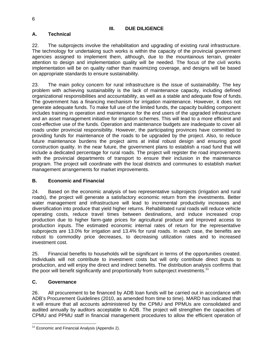## **III. DUE DILIGENCE**

# **A. Technical**

22. The subprojects involve the rehabilitation and upgrading of existing rural infrastructure. The technology for undertaking such works is within the capacity of the provincial government agencies assigned to implement them, although, due to the mountainous terrain, greater attention to design and implementation quality will be needed. The focus of the civil works implementation will be on quality rather than maximizing coverage, and designs will be based on appropriate standards to ensure sustainability.

23. The main policy concern for rural infrastructure is the issue of sustainability. The key problem with achieving sustainability is the lack of maintenance capacity, including defined organizational responsibilities and accountability, as well as a stable and adequate flow of funds. The government has a financing mechanism for irrigation maintenance. However, it does not generate adequate funds. To make full use of the limited funds, the capacity building component includes training in operation and maintenance for the end users of the upgraded infrastructure and an asset management initiative for irrigation schemes. This will lead to a more efficient and cost-effective use of the funds. Operation and maintenance budgets are inadequate to cover all roads under provincial responsibility. However, the participating provinces have committed to providing funds for maintenance of the roads to be upgraded by the project. Also, to reduce future maintenance burdens the project aims at initial robust design and ensuring good construction quality. In the near future, the government plans to establish a road fund that will include a dedicated percentage for rural roads. The project will register the road improvements with the provincial departments of transport to ensure their inclusion in the maintenance program. The project will coordinate with the local districts and communes to establish market management arrangements for market improvements.

## **B. Economic and Financial**

24. Based on the economic analysis of two representative subprojects (irrigation and rural roads), the project will generate a satisfactory economic return from the investments. Better water management and infrastructure will lead to incremental productivity increases and diversification into produce that yield higher returns. Rehabilitated rural roads will reduce vehicle operating costs, reduce travel times between destinations, and induce increased crop production due to higher farm-gate prices for agricultural produce and improved access to production inputs. The estimated economic internal rates of return for the representative subprojects are 13.0% for irrigation and 13.4% for rural roads. In each case, the benefits are robust to commodity price decreases, to decreasing utilization rates and to increased investment cost.

25. Financial benefits to households will be significant in terms of the opportunities created. Individuals will not contribute to investment costs but will only contribute direct inputs to production, and will enjoy the direct and indirect benefits. The distribution analysis confirms that the poor will benefit significantly and proportionally from subproject investments.<sup>11</sup>

# **C. Governance**

26. All procurement to be financed by ADB loan funds will be carried out in accordance with ADB's Procurement Guidelines (2010, as amended from time to time). MARD has indicated that it will ensure that all accounts administered by the CPMU and PPMUs are consolidated and audited annually by auditors acceptable to ADB. The project will strengthen the capacities of CPMU and PPMU staff in financial management procedures to allow the efficient operation of

 $\overline{1}$  $11$  Economic and Financial Analysis (Appendix 2).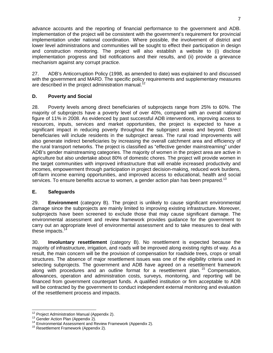advance accounts and the reporting of financial performance to the government and ADB. Implementation of the project will be consistent with the government's requirement for provincial implementation under national coordination. Where possible, the involvement of district and lower level administrations and communities will be sought to effect their participation in design and construction monitoring. The project will also establish a website to (i) disclose implementation progress and bid notifications and their results, and (ii) provide a grievance mechanism against any corrupt practice.

27. ADB's Anticorruption Policy (1998, as amended to date) was explained to and discussed with the government and MARD. The specific policy requirements and supplementary measures are described in the project administration manual. $^{12}$ 

## **D. Poverty and Social**

28. Poverty levels among direct beneficiaries of subprojects range from 25% to 60%. The majority of subprojects have a poverty level of over 40%, compared with an overall national figure of 11% in 2008. As evidenced by past successful ADB interventions, improving access to resources, inputs, services and market opportunities, the project is expected to have a significant impact in reducing poverty throughout the subproject areas and beyond. Direct beneficiaries will include residents in the subproject areas. The rural road improvements will also generate indirect beneficiaries by increasing the overall catchment area and efficiency of the rural transport networks. The project is classified as "effective gender mainstreaming" under ADB's gender mainstreaming categories. The majority of women in the project area are active in agriculture but also undertake about 80% of domestic chores. The project will provide women in the target communities with improved infrastructure that will enable increased productivity and incomes, empowerment through participation in project decision-making, reduced work burdens, off-farm income earning opportunities, and improved access to educational, health and social services. To ensure benefits accrue to women, a gender action plan has been prepared.<sup>13</sup>

#### **E. Safeguards**

29. **Environment** (category B). The project is unlikely to cause significant environmental damage since the subprojects are mainly limited to improving existing infrastructure. Moreover, subprojects have been screened to exclude those that may cause significant damage. The environmental assessment and review framework provides guidance for the government to carry out an appropriate level of environmental assessment and to take measures to deal with these impacts.<sup>1</sup>

30. **Involuntary resettlement** (category B). No resettlement is expected because the majority of infrastructure, irrigation, and roads will be improved along existing rights of way. As a result, the main concern will be the provision of compensation for roadside trees, crops or small structures. The absence of major resettlement issues was one of the eligibility criteria used in selecting subprojects. The government and ADB have agreed on a resettlement framework along with procedures and an outline format for a resettlement plan.<sup>15</sup> Compensation, allowances, operation and administration costs, surveys, monitoring, and reporting will be financed from government counterpart funds. A qualified institution or firm acceptable to ADB will be contracted by the government to conduct independent external monitoring and evaluation of the resettlement process and impacts.

<sup>&</sup>lt;sup>12</sup> Project Administration Manual (Appendix 2).

<sup>13</sup> Gender Action Plan (Appendix 2).<br><sup>14</sup> Environmental Assessment and Review Framework (Appendix 2).<br><sup>15</sup> Resettlement Framework (Appendix 2).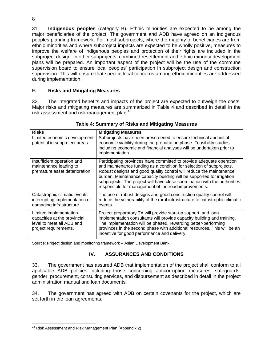31. **Indigenous peoples** (category B). Ethnic minorities are expected to be among the major beneficiaries of the project. The government and ADB have agreed on an indigenous peoples planning framework. For most subprojects, where the majority of beneficiaries are from ethnic minorities and where subproject impacts are expected to be wholly positive, measures to improve the welfare of indigenous peoples and protection of their rights are included in the subproject design. In other subprojects, combined resettlement and ethnic minority development plans will be prepared. An important aspect of the project will be the use of the commune supervision board to ensure local peoples' participation in subproject design and construction supervision. This will ensure that specific local concerns among ethnic minorities are addressed during implementation.

## **F. Risks and Mitigating Measures**

32. The integrated benefits and impacts of the project are expected to outweigh the costs. Major risks and mitigating measures are summarized in Table 4 and described in detail in the risk assessment and risk management plan.<sup>16</sup>

| <b>Risks</b>                                                                                                 | <b>Mitigating Measures</b>                                                                                                                                                                                                                                                                                                                                                                                                          |
|--------------------------------------------------------------------------------------------------------------|-------------------------------------------------------------------------------------------------------------------------------------------------------------------------------------------------------------------------------------------------------------------------------------------------------------------------------------------------------------------------------------------------------------------------------------|
| Limited economic development<br>potential in subproject areas                                                | Subprojects have been prescreened to ensure technical and initial<br>economic viability during the preparation phase. Feasibility studies<br>including economic and financial analyses will be undertaken prior to<br>implementation.                                                                                                                                                                                               |
| Insufficient operation and<br>maintenance leading to<br>premature asset deterioration                        | Participating provinces have committed to provide adequate operation<br>and maintenance funding as a condition for selection of subprojects.<br>Robust designs and good quality control will reduce the maintenance<br>burden. Maintenance capacity building will be supported for irrigation<br>subprojects. The project will have close coordination with the authorities<br>responsible for management of the road improvements. |
| Catastrophic climatic events<br>interrupting implementation or<br>damaging infrastructure                    | The use of robust designs and good construction quality control will<br>reduce the vulnerability of the rural infrastructure to catastrophic climatic<br>events.                                                                                                                                                                                                                                                                    |
| Limited implementation<br>capacities at the provincial<br>level to meet all ADB and<br>project requirements. | Project preparatory TA will provide start-up support, and loan<br>implementation consultants will provide capacity building and training.<br>The implementation will be phased, rewarding better-performing<br>provinces in the second phase with additional resources. This will be an<br>incentive for good performance and delivery.                                                                                             |

#### **Table 4: Summary of Risks and Mitigating Measures**

Source: Project design and monitoring framework – Asian Development Bank.

#### **IV. ASSURANCES AND CONDITIONS**

33. The government has assured ADB that implementation of the project shall conform to all applicable ADB policies including those concerning anticorruption measures, safeguards, gender, procurement, consulting services, and disbursement as described in detail in the project administration manual and loan documents.

34. The government has agreed with ADB on certain covenants for the project, which are set forth in the loan agreements.

<sup>8</sup> 

 $\overline{a}$ <sup>16</sup> Risk Assessment and Risk Management Plan (Appendix 2)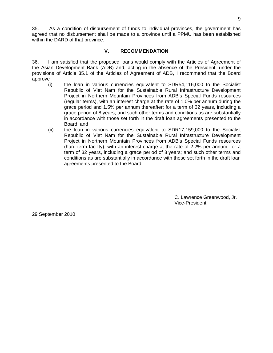35. As a condition of disbursement of funds to individual provinces, the government has agreed that no disbursement shall be made to a province until a PPMU has been established within the DARD of that province.

#### **V. RECOMMENDATION**

36. I am satisfied that the proposed loans would comply with the Articles of Agreement of the Asian Development Bank (ADB) and, acting in the absence of the President, under the provisions of Article 35.1 of the Articles of Agreement of ADB, I recommend that the Board approve

- (i) the loan in various currencies equivalent to SDR54,116,000 to the Socialist Republic of Viet Nam for the Sustainable Rural Infrastructure Development Project in Northern Mountain Provinces from ADB's Special Funds resources (regular terms), with an interest charge at the rate of 1.0% per annum during the grace period and 1.5% per annum thereafter; for a term of 32 years, including a grace period of 8 years; and such other terms and conditions as are substantially in accordance with those set forth in the draft loan agreements presented to the Board; and
- (ii) the loan in various currencies equivalent to SDR17,159,000 to the Socialist Republic of Viet Nam for the Sustainable Rural Infrastructure Development Project in Northern Mountain Provinces from ADB's Special Funds resources (hard-term facility), with an interest charge at the rate of 2.2% per annum; for a term of 32 years, including a grace period of 8 years; and such other terms and conditions as are substantially in accordance with those set forth in the draft loan agreements presented to the Board.

C. Lawrence Greenwood, Jr. Vice-President

29 September 2010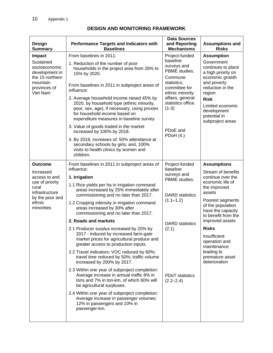| <b>Design</b><br><b>Summary</b>                                                                                                       | <b>Performance Targets and Indicators with</b><br><b>Baselines</b>                                                                                                                                                                                                                                                                                                                                                                                                                                                                                                                                                                                                                                                                                                                                                                                                                                                                                                                         | <b>Data Sources</b><br>and Reporting<br><b>Mechanisms</b>                                                                                                                                                          | <b>Assumptions and</b><br><b>Risks</b>                                                                                                                                                                                                                                                                                                |
|---------------------------------------------------------------------------------------------------------------------------------------|--------------------------------------------------------------------------------------------------------------------------------------------------------------------------------------------------------------------------------------------------------------------------------------------------------------------------------------------------------------------------------------------------------------------------------------------------------------------------------------------------------------------------------------------------------------------------------------------------------------------------------------------------------------------------------------------------------------------------------------------------------------------------------------------------------------------------------------------------------------------------------------------------------------------------------------------------------------------------------------------|--------------------------------------------------------------------------------------------------------------------------------------------------------------------------------------------------------------------|---------------------------------------------------------------------------------------------------------------------------------------------------------------------------------------------------------------------------------------------------------------------------------------------------------------------------------------|
| Impact<br>Sustained<br>socioeconomic<br>development in<br>the 15 northern<br>mountain<br>provinces of<br>Viet Nam                     | From baselines in 2011:<br>1. Reduction of the number of poor<br>households in the project area from 26% to<br>15% by 2020.<br>From baselines in 2011 in subproject areas of<br>influence:<br>2. Average household income raised 45% by<br>2020, by household type (ethnic minority,<br>poor, sex, age), if necessary, using proxies<br>for household income based on<br>expenditure measures in baseline survey<br>3. Value of goods traded in the market<br>increased by 100% by 2018.<br>4. By 2018, increases of: 50% attendance at<br>secondary schools by girls; and, 100%<br>visits to health clinics by women and<br>children.                                                                                                                                                                                                                                                                                                                                                     | Project-funded<br>baseline<br>surveys and<br>PBME studies.<br>Commune<br>statistics,<br>committee for<br>ethnic minority<br>affairs, general<br>statistics office.<br>$(1-3)$<br>PD <sub>o</sub> E and<br>PDOH(4.) | <b>Assumption</b><br>Government<br>continues to place<br>a high priority on<br>economic growth<br>and poverty<br>reduction in the<br>region<br><b>Risk</b><br>Limited economic<br>development<br>potential in<br>subproject areas                                                                                                     |
| <b>Outcome</b><br>Increased<br>access to and<br>use of priority<br>rural<br>infrastructure<br>by the poor and<br>ethnic<br>minorities | From baselines in 2011 in subproject areas of<br>influence:<br>1. Irrigation<br>1.1 Rice yields per ha in irrigation command<br>areas increased by 25% immediately after<br>commissioning and no later than 2017.<br>1.2 Cropping intensity in irrigation command<br>areas increased by 30% after<br>commissioning and no later than 2017.<br>2. Roads and markets<br>2.1 Producer surplus increased by 20% by<br>2017 - induced by increased farm-gate<br>market prices for agricultural produce and<br>greater access to production inputs.<br>2.2 Travel indicators: VOC reduced by 60%;<br>travel time reduced by 50%; traffic volume<br>increased by 200% by 2017.<br>2.3 Within one year of subproject completion:<br>Average increase in annual traffic 8% in<br>tons and 7% in ton-km, of which 60% will<br>be agricultural surpluses.<br>2.4 Within one year of subproject completion:<br>Average increase in passenger volumes:<br>12% in passengers and 10% in<br>passenger-km. | Project-funded<br>baseline<br>surveys and<br>PBME studies.<br><b>DARD</b> statistics<br>$(1.1 - 1.2)$<br><b>DARD</b> statistics<br>(2.1)<br><b>PDoT</b> statistics<br>$(2.2 - 2.4)$                                | <b>Assumptions</b><br>Stream of benefits<br>continue over the<br>economic life of<br>the improved<br>assets<br>Poorest segments<br>of the population<br>have the capacity<br>to benefit from the<br>improved assets<br><b>Risks</b><br>Insufficient<br>operation and<br>maintenance<br>leading to<br>premature asset<br>deterioration |

# **DESIGN AND MONITORING FRAMEWORK**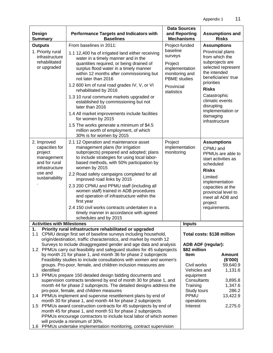| Design<br><b>Summary</b>                                                                                                                                                                                                                                                                                                                                                                     | <b>Performance Targets and Indicators with</b><br><b>Baselines</b>                                                                                                                                                                               |                                                                                           | <b>Data Sources</b><br>and Reporting<br><b>Mechanisms</b> |                                                                                | <b>Assumptions and</b><br><b>Risks</b>                                                             |  |  |
|----------------------------------------------------------------------------------------------------------------------------------------------------------------------------------------------------------------------------------------------------------------------------------------------------------------------------------------------------------------------------------------------|--------------------------------------------------------------------------------------------------------------------------------------------------------------------------------------------------------------------------------------------------|-------------------------------------------------------------------------------------------|-----------------------------------------------------------|--------------------------------------------------------------------------------|----------------------------------------------------------------------------------------------------|--|--|
| <b>Outputs</b>                                                                                                                                                                                                                                                                                                                                                                               | From baselines in 2011:                                                                                                                                                                                                                          | Project-funded                                                                            |                                                           | <b>Assumptions</b>                                                             |                                                                                                    |  |  |
| 1. Priority rural<br>infrastructure<br>rehabilitated<br>or upgraded                                                                                                                                                                                                                                                                                                                          | 1.1 12,400 ha of irrigated land either receiving<br>water in a timely manner and in the<br>quantities required, or being drained of<br>surplus flood water in a timely manner<br>within 12 months after commissioning but<br>not later than 2016 | baseline<br>surveys<br>Project<br>implementation<br>monitoring and<br><b>PBME</b> studies |                                                           | the intended<br>priorities                                                     | Provincial plans<br>from which the<br>subprojects are<br>selected represent<br>beneficiaries' true |  |  |
|                                                                                                                                                                                                                                                                                                                                                                                              | 1.2 600 km of rural road grades IV, V, or VI<br>rehabilitated by 2016<br>1.3 10 rural commune markets upgraded or<br>established by commissioning but not                                                                                        | Provincial<br>statistics                                                                  |                                                           | <b>Risks</b><br>Catastrophic                                                   | climatic events                                                                                    |  |  |
|                                                                                                                                                                                                                                                                                                                                                                                              | later than 2016<br>1.4 All market improvements include facilities<br>for women by 2015                                                                                                                                                           |                                                                                           |                                                           | disrupting<br>damaging<br>infrastructure                                       | implementation or                                                                                  |  |  |
|                                                                                                                                                                                                                                                                                                                                                                                              | 1.5 The works generate a minimum of \$4.5<br>million worth of employment, of which<br>30% is for women by 2015                                                                                                                                   |                                                                                           |                                                           |                                                                                |                                                                                                    |  |  |
| 2. Improved<br>capacities for<br>project<br>management<br>and for rural<br>infrastructure                                                                                                                                                                                                                                                                                                    | Project                                                                                                                                                                                                                                          | implementation<br>CPMU and<br>monitoring<br>scheduled                                     |                                                           | <b>Assumptions</b><br>PPMUs are able to<br>start activities as                 |                                                                                                    |  |  |
| use and<br>sustainability                                                                                                                                                                                                                                                                                                                                                                    | 2.2 Road safety campaigns completed for all<br>improved road links by 2015                                                                                                                                                                       |                                                                                           |                                                           | <b>Risks</b><br>Limited                                                        |                                                                                                    |  |  |
|                                                                                                                                                                                                                                                                                                                                                                                              |                                                                                                                                                                                                                                                  |                                                                                           | project<br>requirements.                                  | implementation<br>capacities at the<br>provincial level to<br>meet all ADB and |                                                                                                    |  |  |
| <b>Activities with Milestones</b>                                                                                                                                                                                                                                                                                                                                                            | schedules and by 2015                                                                                                                                                                                                                            |                                                                                           |                                                           |                                                                                |                                                                                                    |  |  |
| 1.                                                                                                                                                                                                                                                                                                                                                                                           | Priority rural infrastructure rehabilitated or upgraded                                                                                                                                                                                          |                                                                                           | <b>Inputs</b>                                             |                                                                                |                                                                                                    |  |  |
| 1.1                                                                                                                                                                                                                                                                                                                                                                                          | CPMU design first set of baseline surveys including household,<br>origin/destination, traffic characteristics, and market by month 12                                                                                                            |                                                                                           |                                                           | Total costs: \$138 million                                                     |                                                                                                    |  |  |
| Surveys to include disaggregated gender and age data and analysis<br>1.2 PPMUs carry out feasibility and safeguard studies for 45 subprojects<br>\$82 million<br>by month 21 for phase 1, and month 36 for phase 2 subprojects<br>Item<br>Feasibility studies to include consultations with women and women's<br>groups. Pro-poor, female, and children inclusion measures are<br>identified |                                                                                                                                                                                                                                                  |                                                                                           |                                                           | ADB ADF (regular):<br>Civil works<br>Vehicles and                              | <b>Amount</b><br>(\$000)<br>59,640.9<br>1,131.6                                                    |  |  |
| 1.3 PPMUs prepare 150 detailed design bidding documents and<br>supervision contracts tendered by end of month 30 for phase 1, and<br>month 44 for phase 2 subprojects. The detailed designs address the<br>pro-poor, female, and children measures                                                                                                                                           | equipment<br>Consultants<br>Training<br>Study tours                                                                                                                                                                                              |                                                                                           | 3,895.8<br>1,347.6<br>286.2<br>13,422.9                   |                                                                                |                                                                                                    |  |  |
| 1.4 PPMUs implement and supervise resettlement plans by end of<br>PPMU<br>month 30 for phase 1, and month 44 for phase 2 subprojects<br>operations<br>PPMUs award construction contracts for 45 subprojects by end of<br>Interest<br>1.5<br>month 45 for phase 1, and month 51 for phase 2 subprojects.<br>PPMUs encourage contractors to include local labor of which women                 |                                                                                                                                                                                                                                                  |                                                                                           |                                                           |                                                                                |                                                                                                    |  |  |
| will provide a minimum of 30%.<br>1.6 PPMUs undertake implementation monitoring, contract supervision                                                                                                                                                                                                                                                                                        |                                                                                                                                                                                                                                                  |                                                                                           |                                                           |                                                                                |                                                                                                    |  |  |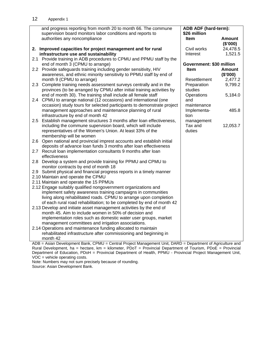|     | and progress reporting from month 20 to month 66. The commune<br>supervision board monitors labor conditions and reports to | ADB ADF (hard-term):<br>\$26 million |                    |
|-----|-----------------------------------------------------------------------------------------------------------------------------|--------------------------------------|--------------------|
|     | authorities any noncompliance                                                                                               | <b>Item</b>                          | Amount<br>(\$'000) |
|     | 2. Improved capacities for project management and for rural                                                                 | Civil works                          | 24,478.5           |
|     | infrastructure use and sustainability                                                                                       | Interest                             | 1,521.5            |
|     | 2.1 Provide training in ADB procedures to CPMU and PPMU staff by the                                                        |                                      |                    |
|     | end of month 3 (CPMU to arrange)                                                                                            | Government: \$30 million             |                    |
|     | 2.2 Provide safeguards training including gender sensitivity, HIV                                                           | <b>Item</b>                          | <b>Amount</b>      |
|     | awareness, and ethnic minority sensitivity to PPMU staff by end of                                                          |                                      | (\$'000)           |
|     | month 9 (CPMU to arrange)                                                                                                   | Resettlement                         | 2,477.2            |
|     | 2.3 Complete training needs assessment surveys centrally and in the                                                         | Preparation                          | 9,799.2            |
|     | provinces (to be arranged by CPMU after initial training activities by                                                      | studies                              |                    |
|     | end of month 30). The training shall include all female staff                                                               | Operations                           | 5,184.0            |
|     | 2.4 CPMU to arrange national (12 occasions) and international (one                                                          | and                                  |                    |
|     | occasion) study tours for selected participants to demonstrate project                                                      | maintenance                          |                    |
|     | management approaches and maintenance planning of rural                                                                     | Implementa-                          | 485.8              |
|     | infrastructure by end of month 42                                                                                           | tion                                 |                    |
|     | 2.5 Establish management structures 3 months after loan effectiveness,                                                      | management                           |                    |
|     | including the commune supervision board, which will include                                                                 | Tax and                              | 12,053.7           |
|     | representatives of the Women's Union. At least 33% of the                                                                   | duties                               |                    |
|     | membership will be women                                                                                                    |                                      |                    |
|     | 2.6 Open national and provincial imprest accounts and establish initial                                                     |                                      |                    |
|     | deposits of advance loan funds 3 months after loan effectiveness                                                            |                                      |                    |
|     | 2.7 Recruit loan implementation consultants 9 months after loan                                                             |                                      |                    |
|     | effectiveness                                                                                                               |                                      |                    |
| 2.8 | Develop a system and provide training for PPMU and CPMU to                                                                  |                                      |                    |
|     | monitor contracts by end of month 18                                                                                        |                                      |                    |
|     | 2.9 Submit physical and financial progress reports in a timely manner                                                       |                                      |                    |
|     | 2.10 Maintain and operate the CPMU                                                                                          |                                      |                    |
|     | 2.11 Maintain and operate the 15 PPMUs                                                                                      |                                      |                    |
|     | 2.12 Engage suitably qualified nongovernment organizations and                                                              |                                      |                    |
|     | implement safety awareness training campaigns in communities                                                                |                                      |                    |
|     | living along rehabilitated roads. CPMU to arrange upon completion                                                           |                                      |                    |
|     | of each rural road rehabilitation; to be completed by end of month 42                                                       |                                      |                    |
|     | 2.13 Develop and initiate asset management activities by the end of                                                         |                                      |                    |
|     | month 45. Aim to include women in 50% of decision and                                                                       |                                      |                    |
|     | implementation roles such as domestic water user groups, market                                                             |                                      |                    |
|     | management committees and irrigation associations.                                                                          |                                      |                    |
|     | 2.14 Operations and maintenance funding allocated to maintain                                                               |                                      |                    |
|     | rehabilitated infrastructure after commissioning and beginning in                                                           |                                      |                    |
|     | month 42                                                                                                                    |                                      |                    |
|     |                                                                                                                             |                                      |                    |

ADB = Asian Development Bank, CPMU = Central Project Management Unit, DARD = Department of Agriculture and Rural Development, ha = hectare, km = kilometer, PDoT = Provincial Department of Tourism, PDoE = Provincial Department of Education, PDoH = Provincial Department of Health, PPMU - Provincial Project Management Unit, VOC = vehicle operating costs.

Note: Numbers may not sum precisely because of rounding.

Source: Asian Development Bank.